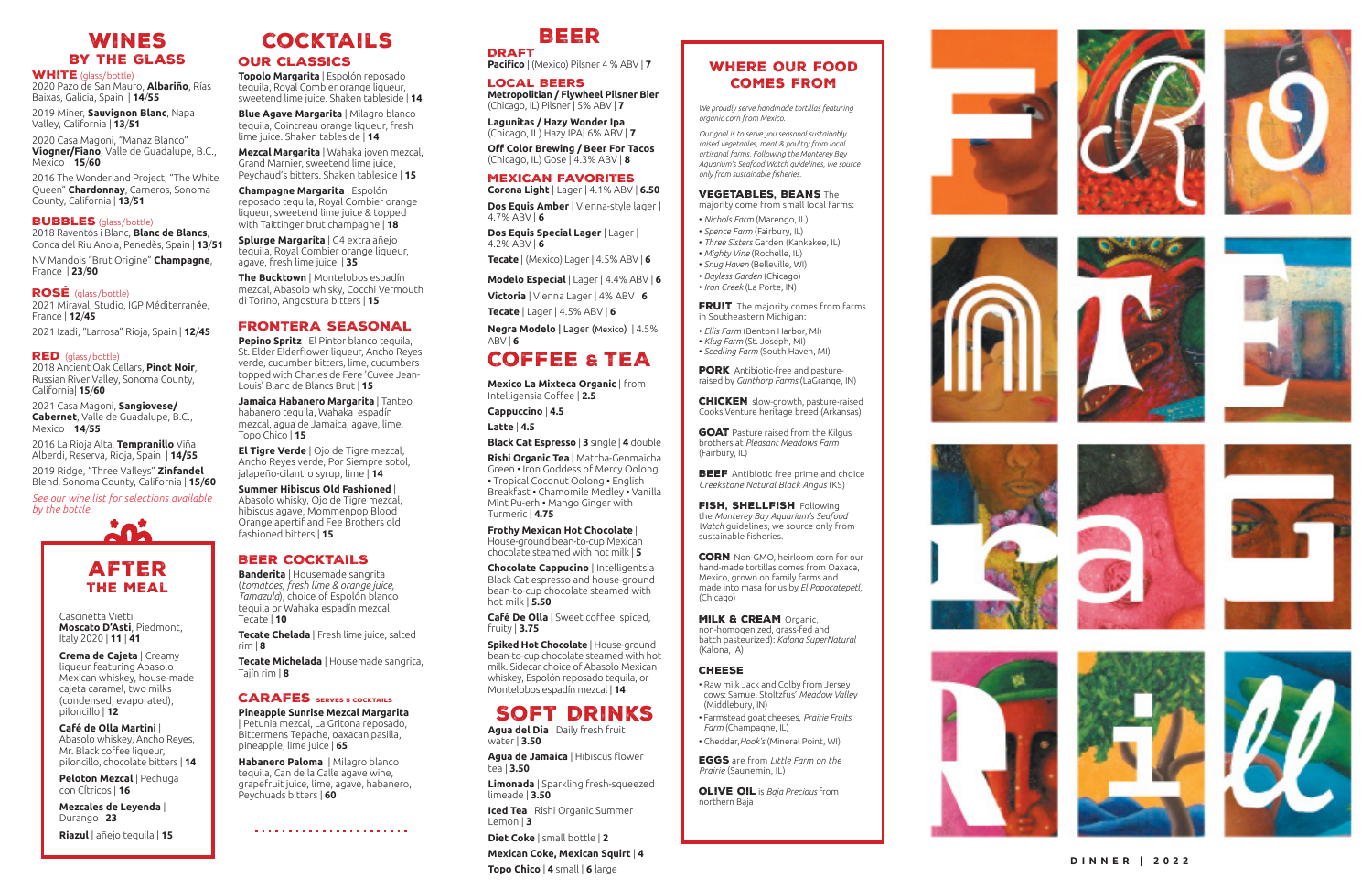*We proudly serve handmade tortillas featuring organic corn from Mexico.*

*Our goal is to serve you seasonal sustainably raised vegetables, meat & poultry from local artisanal farms. Following the Monterey Bay Aquarium's Seafood Watch guidelines, we source only from sustainable fisheries.*

#### VEGETABLES. BEANS The

FRUIT The majority comes from farms in Southeastern Michigan:

majority come from small local farms:

**PORK** Antibiotic-free and pastureraised by *Gunthorp Farms* (LaGrange, IN)

- *Nichols Farm* (Marengo, IL)
- *Spence Farm* (Fairbury, IL) • *Three Sisters* Garden (Kankakee, IL)
- *Mighty Vine* (Rochelle, IL)
- *Snug Haven* (Belleville, WI)
- *Bayless Garden* (Chicago)
- *Iron Creek* (La Porte, IN)

GOAT Pasture raised from the Kilgus brothers at *Pleasant Meadows Farm* (Fairbury, IL)

**BEEF** Antibiotic free prime and choice *Creekstone Natural Black Angus* (KS)

FISH, SHELLFISH Following the *Monterey Bay Aquarium's Seafood Watch* guidelines, we source only from sustainable fisheries.

**CORN** Non-GMO, heirloom corn for our hand-made tortillas comes from Oaxaca, Mexico, grown on family farms and made into masa for us by *El Popocatepetl,* (Chicago)

#### **MILK & CREAM Organic.**

- *Ellis Farm* (Benton Harbor, MI)
- *Klug Farm* (St. Joseph, MI)
- *Seedling Farm* (South Haven, MI)

CHICKEN slow-growth, pasture-raised Cooks Venture heritage breed (Arkansas)

non-homogenized, grass-fed and batch pasteurized): *Kalona SuperNatural*  (Kalona, IA)

• Raw milk Jack and Colby from Jersey cows: Samuel Stoltzfus' *Meadow Valley*

(Middlebury, IN)

• Farmstead goat cheeses, *Prairie Fruits* 

*Farm* (Champagne, IL)

• Cheddar,*Hook's* (Mineral Point, WI) Eggs are from *Little Farm on the* 

*Prairie*  (Saunemin, IL)

Olive Oil is *Baja Precious* from

#### **CHEESE**

northern Baja

























## Wines by the Glass

#### **WHITE** (glass/bottle)

2020 Pazo de San Mauro, **Albariño**, Rías Baixas, Galicia, Spain | **14** /**55**

2019 Miner, **Sauvignon Blanc**, Napa Valley, California | **13** /**51**

2020 Casa Magoni, "Manaz Blanco" **Viogner/Fiano**, Valle de Guadalupe, B.C., Mexico | **15** /**60**

2016 The Wonderland Project, "The White Queen" **Chardonnay**, Carneros, Sonoma County, California | **13** /**51**

#### **BUBBLES** (glass/bottle)

2018 Raventós i Blanc, **Blanc de Blancs**, Conca del Riu Anoia, Penedès, Spain | **13** /**51**

NV Mandois "Brut Origine" **Champagne**, France | **23** /**90**

#### ROSÉ (glass/bottle)

2021 Miraval, Studio, IGP Méditerranée, France | **12** /**45** 

2021 Izadi, "Larrosa" Rioja, Spain | **12** /**45**

#### **RED** (glass/bottle)

2018 Ancient Oak Cellars, **Pinot Noir**, Russian River Valley, Sonoma County, California| **15** /**60**

2021 Casa Magoni, **Sangiovese/ Cabernet**, Valle de Guadalupe, B.C., Mexico | **14** /**55**

2016 La Rioja Alta, **Tempranillo** Viña Alberdi, Reserva, Rioja, Spain | **14/55**

2019 Ridge, "Three Valleys" **Zinfandel**  Blend, Sonoma County, California | **15** /**60**

*See our wine list for selections available by the bottle.*

# cocktails Beer

## Coffee & TEA

## Soft Drinks

**Pacifico** | (Mexico) Pilsner 4 % ABV | **7**

#### Local Beers

**Metropolitian / Flywheel Pilsner Bier** (Chicago, IL) Pilsner | 5% ABV | **7**

**Lagunitas / Hazy Wonder Ipa** (Chicago, IL) Hazy IPA| 6% ABV | **7**

**Off Color Brewing / Beer For Tacos**  (Chicago, IL) Gose | 4.3% ABV | **8**

## Mexican Favorites

**Corona Light** | Lager | 4.1% ABV | **6.50 Dos Equis Amber** | Vienna-style lager | 4.7% ABV | **6**

**Dos Equis Special Lager** | Lager | 4.2% ABV | **6**

**Tecate** | (Mexico) Lager | 4.5% ABV | **6**

**Modelo Especial** | Lager | 4.4% ABV | **6**

**Victoria** | Vienna Lager | 4% ABV | **6 Tecate** | Lager | 4.5% ABV | **6**

**Negra Modelo** | Lager (Mexico) | 4.5% ABV | **6**

**Mexico La Mixteca Organic** | from Intelligensia Coffee | **2.5**

**Cappuccino** | **4.5** 

**Latte** | **4.5**

**Black Cat Espresso** | **3** single | **4** double

**Rishi Organic Tea** | Matcha-Genmaicha Green • Iron Goddess of Mercy Oolong • Tropical Coconut Oolong • English Breakfast • Chamomile Medley • Vanilla Mint Pu-erh • Mango Ginger with Turmeric | **4.75**

**Frothy Mexican Hot Chocolate** | House-ground bean-to-cup Mexican chocolate steamed with hot milk | **5**

**Chocolate Cappucino** | Intelligentsia Black Cat espresso and house-ground bean-to-cup chocolate steamed with hot milk | **5.50**

**Café De Olla** | Sweet coffee, spiced, fruity | **3.75**

**Spiked Hot Chocolate** | House-ground bean-to-cup chocolate steamed with hot milk. Sidecar choice of Abasolo Mexican whiskey, Espolón reposado tequila, or Montelobos espadín mezcal | **14**

**Agua del Día** | Daily fresh fruit water | **3.50**

**Agua de Jamaica** | Hibiscus flower tea | **3.50**

**Limonada** | Sparkling fresh-squeezed limeade | **3.50**

**Iced Tea** | Rishi Organic Summer Lemon | **3**

**Diet Coke** | small bottle | **2**

**Mexican Coke, Mexican Squirt** | **4 Topo Chico** | 4 small | 6 large **<sup>4</sup>** small | **6** large **DINNER | 2022**

Cascinetta Vietti, **Moscato D'Asti**, Piedmont, Italy 2020 | **11** | **41**

**Crema de Cajeta** | Creamy liqueur featuring Abasolo Mexican whiskey, house-made cajeta caramel, two milks (condensed, evaporated), piloncillo | **12**

**Café de Olla Martini** | Abasolo whiskey, Ancho Reyes, Mr. Black coffee liqueur, piloncillo, chocolate bitters | **14**

**Peloton Mezcal** | Pechuga con CÍtricos | **16**

**Mezcales de Leyenda** | Durango | **23**

**Riazul** | añejo tequila | **15**



## our classics

**Topolo Margarita** | Espolón reposado tequila, Royal Combier orange liqueur, sweetend lime juice. Shaken tableside | **14**

**Blue Agave Margarita** | Milagro blanco tequila, Cointreau orange liqueur, fresh lime juice. Shaken tableside | **14**

**Mezcal Margarita** | Wahaka joven mezcal, Grand Marnier, sweetend lime juice, Peychaud's bitters. Shaken tableside | **15**

**Champagne Margarita** | Espolón reposado tequila, Royal Combier orange liqueur, sweetend lime juice & topped with Taittinger brut champagne | **18**

**Splurge Margarita** | G4 extra añejo tequila, Royal Combier orange liqueur, agave, fresh lime juice | **35**

**The Bucktown** | Montelobos espadín mezcal, Abasolo whisky, Cocchi Vermouth di Torino, Angostura bitters | **15**

#### FRONTERA SEASONAL

**Pepino Spritz** | El Pintor blanco tequila, St. Elder Elderflower liqueur, Ancho Reyes verde, cucumber bitters, lime, cucumbers topped with Charles de Fere 'Cuvee Jean-Louis' Blanc de Blancs Brut | **15**

**Jamaica Habanero Margarita** | Tanteo habanero tequila, Wahaka espadín mezcal, agua de Jamaica, agave, lime, Topo Chico | **15**

**El Tigre Verde** | Ojo de Tigre mezcal, Ancho Reyes verde, Por Siempre sotol, jalapeño-cilantro syrup, lime | **14**

**Summer Hibiscus Old Fashioned** | Abasolo whisky, Ojo de Tigre mezcal, hibiscus agave, Mommenpop Blood Orange apertif and Fee Brothers old fashioned bitters | **15**

## BEER COCKTAILS

**Banderita** | Housemade sangrita (*tomatoes, fresh lime & orange juice, Tamazula*), choice of Espolón blanco tequila or Wahaka espadín mezcal, Tecate | **10**

**Tecate Chelada** | Fresh lime juice, salted rim | **8**

**Tecate Michelada** | Housemade sangrita, Tajín rim | **8**

#### **CARAFES** SERVES 5 COCKTAILS

**Pineapple Sunrise Mezcal Margarita**  | Petunia mezcal, La Gritona reposado, Bittermens Tepache, oaxacan pasilla, pineapple, lime juice | **65**

**Habanero Paloma** | Milagro blanco tequila, Can de la Calle agave wine, grapefruit juice, lime, agave, habanero, Peychuads bitters | **60**



# **DRAFT**

## Where Our Food Comes From